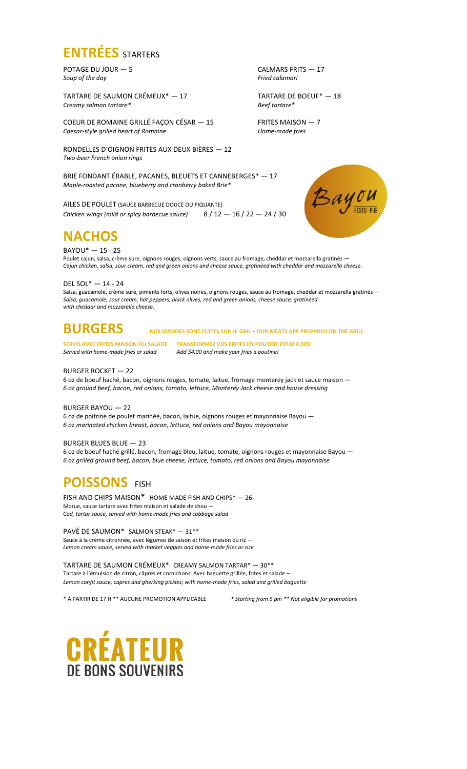

POTAGE DU JOUR — 5 CALMARS FRITS — 17<br>Soup of the day Fried calamari *Soup of the day* 

TARTARE DE SAUMON CRÉMEUX<sup>\*</sup> — 17 TARTARE DE BOEUF<sup>\*</sup> — 18 *Creamy salmon tartare\* Beef tartare\**

COEUR DE ROMAINE GRILLÉ FAÇON CÉSAR  $-$  15 FRITES MAISON  $-$  7 Caesar-style grilled heart of Romaine  $r$ *Caesar-style grilled heart of Romaine* 

RONDELLES D'OIGNON FRITES AUX DEUX BIÈRES — 12 *Two-beer French onion rings*

BRIE FONDANT ÉRABLE, PACANES, BLEUETS ET CANNEBERGES\* — 17 *Maple-roasted pacane, blueberry and cranberry baked Brie\**

AILES DE POULET (SAUCE BARBECUE DOUCE OU PIQUANTE) *Chicken wings (mild or spicy barbecue sauce)* 8 / 12 — 16 / 22 — 24 / 30

**NACHOS**

BAYOU\* — 15 - 25

Poulet cajun, salsa, crème sure, oignons rouges, oignons verts, sauce au fromage, cheddar et mozzarella gratinés -*Cajun chicken, salsa, sour cream, red and green onions and cheese sauce, gratinéed with cheddar and mozzarella cheese.*

DEL SOL\* — 14 - 24

Salsa, guacamole, crème sure, piments forts, olives noires, oignons rouges, sauce au fromage, cheddar et mozzarella gratinés -*Salsa, guacamole, sour cream, hot peppers, black olives, red and green onions, cheese sauce, gratinéed with cheddar and mozzarella cheese*.

# **BURGERS NOS VIANDES SONT CUITES SUR LE GRIL – OUR MEATS ARE PREPARED ON THE GRILL**

**SERVIS AVEC FRITES MAISON OU SALADE TRANSFORMEZ VOS FRITES EN POUTINE POUR 4.00\$!** *Served with home-made fries or salad Add \$4.00 and make your fries a poutine!*

### BURGER ROCKET — 22

6 oz de boeuf haché, bacon, oignons rouges, tomate, laitue, fromage monterey jack et sauce maison — *6 oz ground beef, bacon, red onions, tomato, lettuce, Monterey Jack cheese and house dressing*

### BURGER BAYOU — 22

6 oz de poitrine de poulet marinée, bacon, laitue, oignons rouges et mayonnaise Bayou — *6 oz marinated chicken breast, bacon, lettuce, red onions and Bayou mayonnaise*

### BURGER BLUES BLUE - 23

6 oz de boeuf haché grillé, bacon, fromage bleu, laitue, tomate, oignons rouges et mayonnaise Bayou — *6 oz grilled ground beef, bacon, blue cheese, lettuce, tomato, red onions and Bayou mayonnaise*

## **POISSONS** FISH

FISH AND CHIPS MAISON\* HOME MADE FISH AND CHIPS\* — 26 Morue, sauce tartare avec frites maison et salade de chou — C*od, tartar sauce, served with home-made fries and cabbage salad*

### PAVÉ DE SAUMON\* SALMON STEAK\* - 31\*\*

Sauce à la crème citronnée, avec légumes de saison et frites maison ou riz — *Lemon cream sauce, served with market veggies and home-made fries or rice*

#### TARTARE DE SAUMON CRÉMEUX\* CREAMY SALMON TARTAR\* — 30\*\* Tartare à l'émulsion de citron, câpres et cornichons. Avec baguette grillée, frites et salade –

*Lemon confit sauce, capres and gherking pickles; with home-made fries, salad and grilled baguette*

\* À PARTIR DE 17 H \*\* AUCUNE PROMOTION APPLICABLE *\* Starting from 5 pm \*\* Not eligible for promotions*